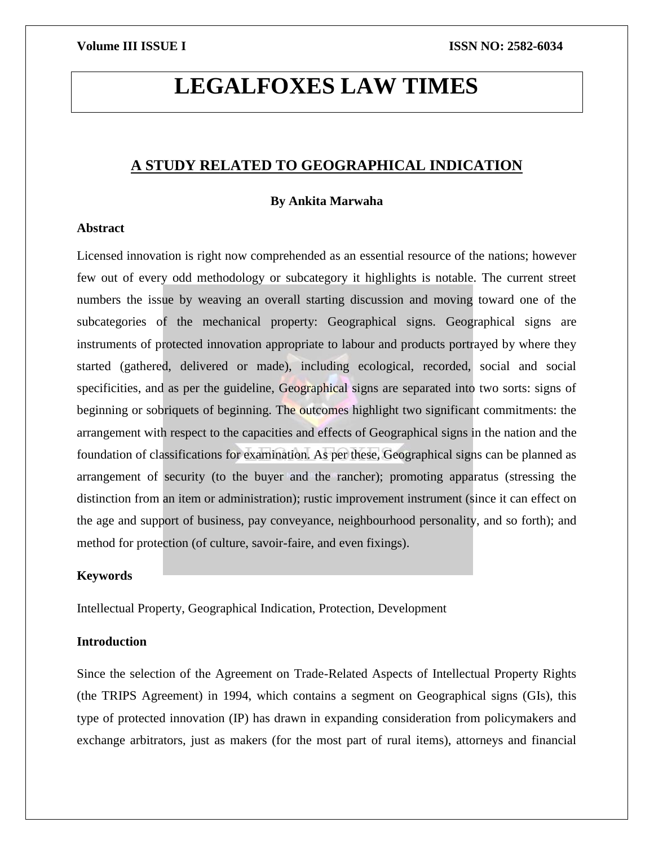# **LEGALFOXES LAW TIMES**

# **A STUDY RELATED TO GEOGRAPHICAL INDICATION**

# **By Ankita Marwaha**

# **Abstract**

Licensed innovation is right now comprehended as an essential resource of the nations; however few out of every odd methodology or subcategory it highlights is notable. The current street numbers the issue by weaving an overall starting discussion and moving toward one of the subcategories of the mechanical property: Geographical signs. Geographical signs are instruments of protected innovation appropriate to labour and products portrayed by where they started (gathered, delivered or made), including ecological, recorded, social and social specificities, and as per the guideline, Geographical signs are separated into two sorts: signs of beginning or sobriquets of beginning. The outcomes highlight two significant commitments: the arrangement with respect to the capacities and effects of Geographical signs in the nation and the foundation of classifications for examination. As per these, Geographical signs can be planned as arrangement of security (to the buyer and the rancher); promoting apparatus (stressing the distinction from an item or administration); rustic improvement instrument (since it can effect on the age and support of business, pay conveyance, neighbourhood personality, and so forth); and method for protection (of culture, savoir-faire, and even fixings).

# **Keywords**

Intellectual Property, Geographical Indication, Protection, Development

# **Introduction**

Since the selection of the Agreement on Trade-Related Aspects of Intellectual Property Rights (the TRIPS Agreement) in 1994, which contains a segment on Geographical signs (GIs), this type of protected innovation (IP) has drawn in expanding consideration from policymakers and exchange arbitrators, just as makers (for the most part of rural items), attorneys and financial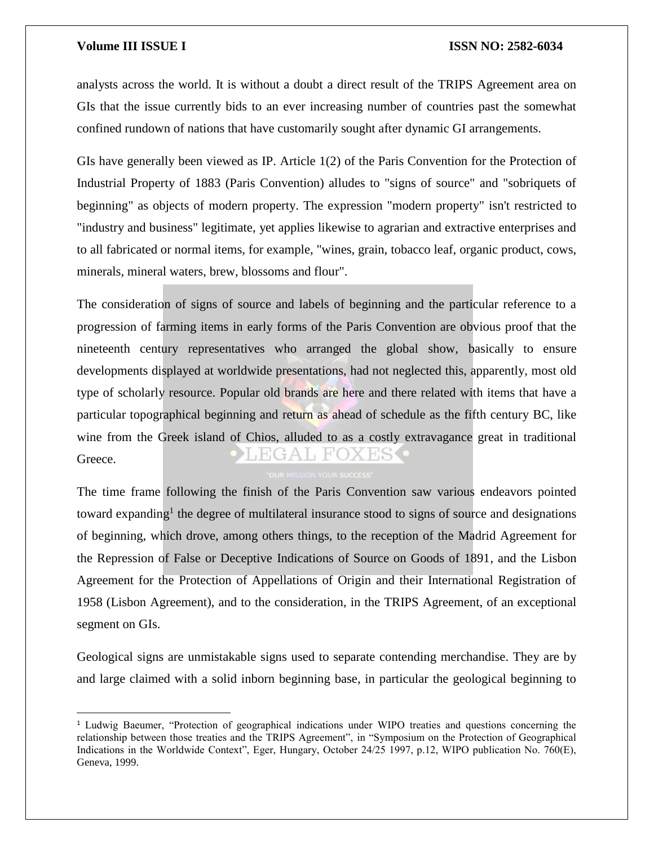$\overline{a}$ 

# **Volume III ISSUE I ISSN NO: 2582-6034**

analysts across the world. It is without a doubt a direct result of the TRIPS Agreement area on GIs that the issue currently bids to an ever increasing number of countries past the somewhat confined rundown of nations that have customarily sought after dynamic GI arrangements.

GIs have generally been viewed as IP. Article 1(2) of the Paris Convention for the Protection of Industrial Property of 1883 (Paris Convention) alludes to "signs of source" and "sobriquets of beginning" as objects of modern property. The expression "modern property" isn't restricted to "industry and business" legitimate, yet applies likewise to agrarian and extractive enterprises and to all fabricated or normal items, for example, "wines, grain, tobacco leaf, organic product, cows, minerals, mineral waters, brew, blossoms and flour".

The consideration of signs of source and labels of beginning and the particular reference to a progression of farming items in early forms of the Paris Convention are obvious proof that the nineteenth century representatives who arranged the global show, basically to ensure developments displayed at worldwide presentations, had not neglected this, apparently, most old type of scholarly resource. Popular old brands are here and there related with items that have a particular topographical beginning and return as ahead of schedule as the fifth century BC, like wine from the Greek island of Chios, alluded to as a costly extravagance great in traditional EGAL FOXES Greece.

The time frame following the finish of the Paris Convention saw various endeavors pointed toward expanding<sup>1</sup> the degree of multilateral insurance stood to signs of source and designations of beginning, which drove, among others things, to the reception of the Madrid Agreement for the Repression of False or Deceptive Indications of Source on Goods of 1891, and the Lisbon Agreement for the Protection of Appellations of Origin and their International Registration of 1958 (Lisbon Agreement), and to the consideration, in the TRIPS Agreement, of an exceptional segment on GIs.

Geological signs are unmistakable signs used to separate contending merchandise. They are by and large claimed with a solid inborn beginning base, in particular the geological beginning to

<sup>1</sup> Ludwig Baeumer, "Protection of geographical indications under WIPO treaties and questions concerning the relationship between those treaties and the TRIPS Agreement", in "Symposium on the Protection of Geographical Indications in the Worldwide Context", Eger, Hungary, October 24/25 1997, p.12, WIPO publication No. 760(E), Geneva, 1999.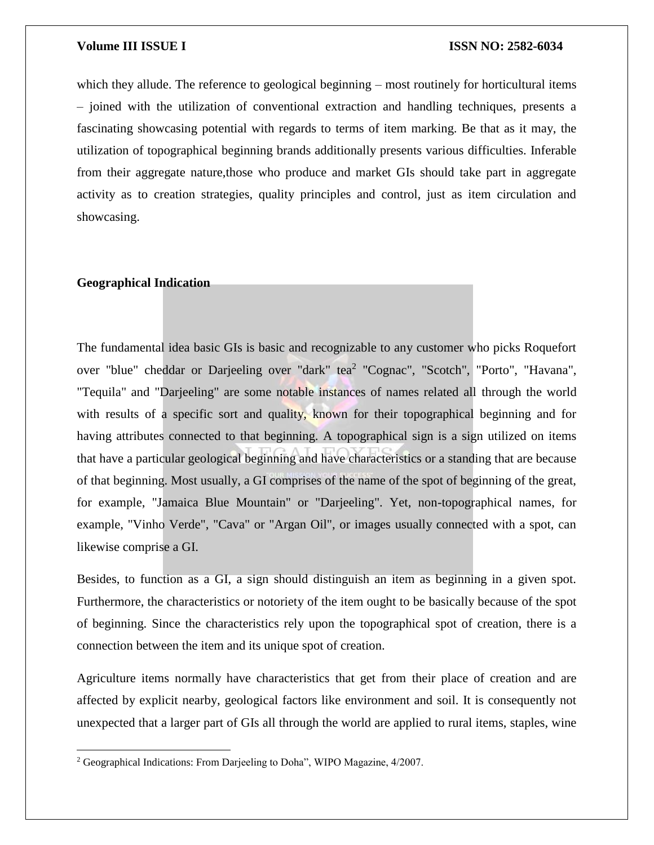which they allude. The reference to geological beginning – most routinely for horticultural items – joined with the utilization of conventional extraction and handling techniques, presents a fascinating showcasing potential with regards to terms of item marking. Be that as it may, the utilization of topographical beginning brands additionally presents various difficulties. Inferable from their aggregate nature,those who produce and market GIs should take part in aggregate activity as to creation strategies, quality principles and control, just as item circulation and showcasing.

# **Geographical Indication**

 $\overline{\phantom{a}}$ 

The fundamental idea basic GIs is basic and recognizable to any customer who picks Roquefort over "blue" cheddar or Darjeeling over "dark" tea<sup>2</sup> "Cognac", "Scotch", "Porto", "Havana", "Tequila" and "Darjeeling" are some notable instances of names related all through the world with results of a specific sort and quality, known for their topographical beginning and for having attributes connected to that beginning. A topographical sign is a sign utilized on items that have a particular geological beginning and have characteristics or a standing that are because of that beginning. Most usually, a GI comprises of the name of the spot of beginning of the great, for example, "Jamaica Blue Mountain" or "Darjeeling". Yet, non-topographical names, for example, "Vinho Verde", "Cava" or "Argan Oil", or images usually connected with a spot, can likewise comprise a GI.

Besides, to function as a GI, a sign should distinguish an item as beginning in a given spot. Furthermore, the characteristics or notoriety of the item ought to be basically because of the spot of beginning. Since the characteristics rely upon the topographical spot of creation, there is a connection between the item and its unique spot of creation.

Agriculture items normally have characteristics that get from their place of creation and are affected by explicit nearby, geological factors like environment and soil. It is consequently not unexpected that a larger part of GIs all through the world are applied to rural items, staples, wine

<sup>2</sup> Geographical Indications: From Darjeeling to Doha", WIPO Magazine, 4/2007.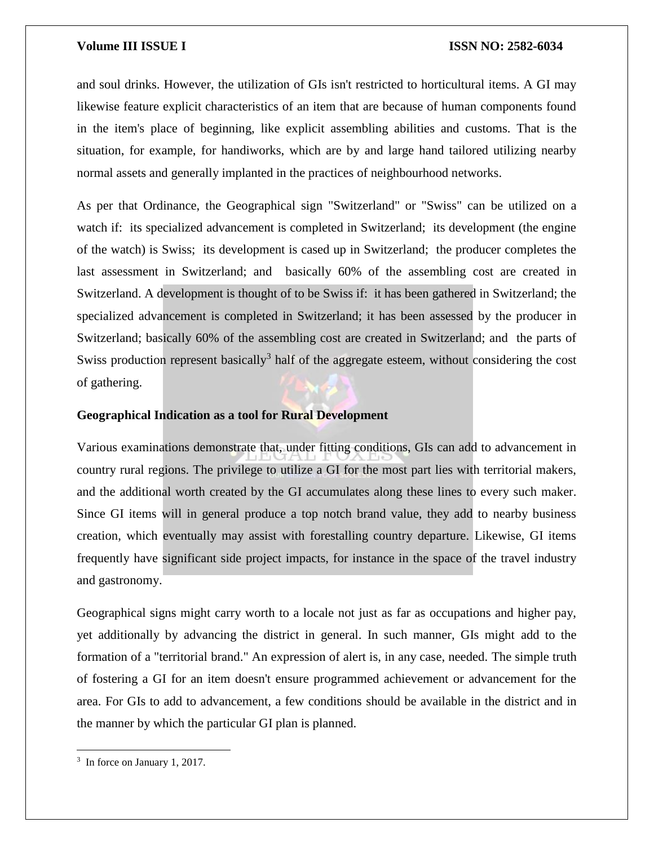and soul drinks. However, the utilization of GIs isn't restricted to horticultural items. A GI may likewise feature explicit characteristics of an item that are because of human components found in the item's place of beginning, like explicit assembling abilities and customs. That is the situation, for example, for handiworks, which are by and large hand tailored utilizing nearby normal assets and generally implanted in the practices of neighbourhood networks.

As per that Ordinance, the Geographical sign "Switzerland" or "Swiss" can be utilized on a watch if: its specialized advancement is completed in Switzerland; its development (the engine of the watch) is Swiss; its development is cased up in Switzerland; the producer completes the last assessment in Switzerland; and basically 60% of the assembling cost are created in Switzerland. A development is thought of to be Swiss if: it has been gathered in Switzerland; the specialized advancement is completed in Switzerland; it has been assessed by the producer in Switzerland; basically 60% of the assembling cost are created in Switzerland; and the parts of Swiss production represent basically<sup>3</sup> half of the aggregate esteem, without considering the cost of gathering.

# **Geographical Indication as a tool for Rural Development**

Various examinations demonstrate that, under fitting conditions, GIs can add to advancement in country rural regions. The privilege to utilize a GI for the most part lies with territorial makers, and the additional worth created by the GI accumulates along these lines to every such maker. Since GI items will in general produce a top notch brand value, they add to nearby business creation, which eventually may assist with forestalling country departure. Likewise, GI items frequently have significant side project impacts, for instance in the space of the travel industry and gastronomy.

Geographical signs might carry worth to a locale not just as far as occupations and higher pay, yet additionally by advancing the district in general. In such manner, GIs might add to the formation of a "territorial brand." An expression of alert is, in any case, needed. The simple truth of fostering a GI for an item doesn't ensure programmed achievement or advancement for the area. For GIs to add to advancement, a few conditions should be available in the district and in the manner by which the particular GI plan is planned.

 $\overline{\phantom{a}}$ 

<sup>&</sup>lt;sup>3</sup> In force on January 1, 2017.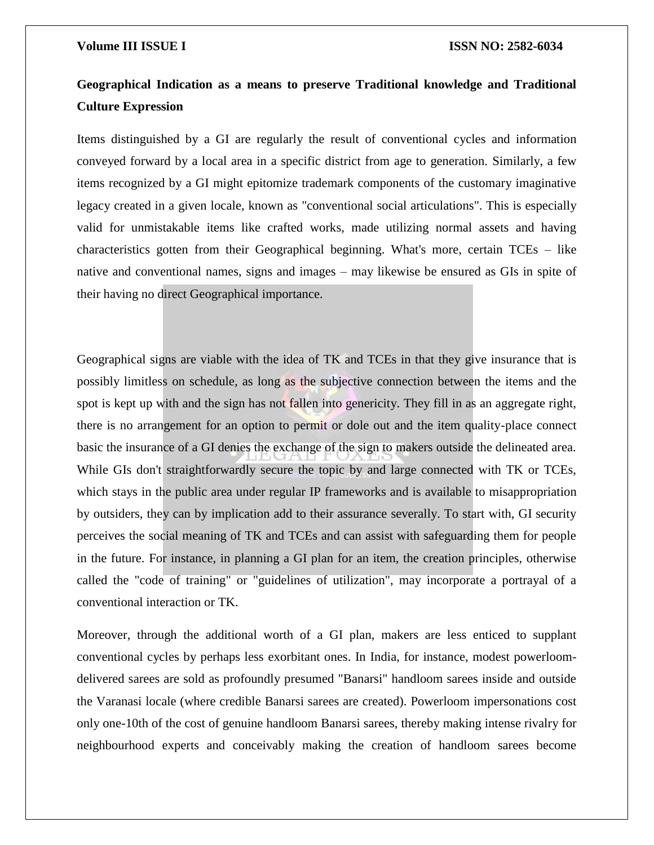# **Geographical Indication as a means to preserve Traditional knowledge and Traditional Culture Expression**

Items distinguished by a GI are regularly the result of conventional cycles and information conveyed forward by a local area in a specific district from age to generation. Similarly, a few items recognized by a GI might epitomize trademark components of the customary imaginative legacy created in a given locale, known as "conventional social articulations". This is especially valid for unmistakable items like crafted works, made utilizing normal assets and having characteristics gotten from their Geographical beginning. What's more, certain TCEs – like native and conventional names, signs and images – may likewise be ensured as GIs in spite of their having no direct Geographical importance.

Geographical signs are viable with the idea of TK and TCEs in that they give insurance that is possibly limitless on schedule, as long as the subjective connection between the items and the spot is kept up with and the sign has not fallen into genericity. They fill in as an aggregate right, there is no arrangement for an option to permit or dole out and the item quality-place connect basic the insurance of a GI denies the exchange of the sign to makers outside the delineated area. While GIs don't straightforwardly secure the topic by and large connected with TK or TCEs, which stays in the public area under regular IP frameworks and is available to misappropriation by outsiders, they can by implication add to their assurance severally. To start with, GI security perceives the social meaning of TK and TCEs and can assist with safeguarding them for people in the future. For instance, in planning a GI plan for an item, the creation principles, otherwise called the "code of training" or "guidelines of utilization", may incorporate a portrayal of a conventional interaction or TK.

Moreover, through the additional worth of a GI plan, makers are less enticed to supplant conventional cycles by perhaps less exorbitant ones. In India, for instance, modest powerloomdelivered sarees are sold as profoundly presumed "Banarsi" handloom sarees inside and outside the Varanasi locale (where credible Banarsi sarees are created). Powerloom impersonations cost only one-10th of the cost of genuine handloom Banarsi sarees, thereby making intense rivalry for neighbourhood experts and conceivably making the creation of handloom sarees become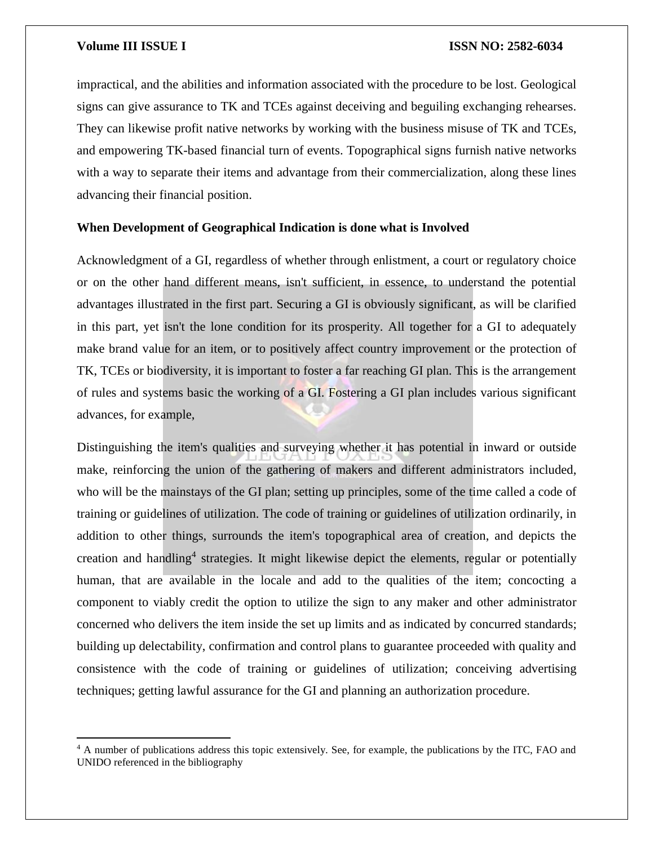$\overline{a}$ 

impractical, and the abilities and information associated with the procedure to be lost. Geological signs can give assurance to TK and TCEs against deceiving and beguiling exchanging rehearses. They can likewise profit native networks by working with the business misuse of TK and TCEs, and empowering TK-based financial turn of events. Topographical signs furnish native networks with a way to separate their items and advantage from their commercialization, along these lines advancing their financial position.

# **When Development of Geographical Indication is done what is Involved**

Acknowledgment of a GI, regardless of whether through enlistment, a court or regulatory choice or on the other hand different means, isn't sufficient, in essence, to understand the potential advantages illustrated in the first part. Securing a GI is obviously significant, as will be clarified in this part, yet isn't the lone condition for its prosperity. All together for a GI to adequately make brand value for an item, or to positively affect country improvement or the protection of TK, TCEs or biodiversity, it is important to foster a far reaching GI plan. This is the arrangement of rules and systems basic the working of a GI. Fostering a GI plan includes various significant advances, for example,

Distinguishing the item's qualities and surveying whether it has potential in inward or outside make, reinforcing the union of the gathering of makers and different administrators included, who will be the mainstays of the GI plan; setting up principles, some of the time called a code of training or guidelines of utilization. The code of training or guidelines of utilization ordinarily, in addition to other things, surrounds the item's topographical area of creation, and depicts the creation and handling<sup>4</sup> strategies. It might likewise depict the elements, regular or potentially human, that are available in the locale and add to the qualities of the item; concocting a component to viably credit the option to utilize the sign to any maker and other administrator concerned who delivers the item inside the set up limits and as indicated by concurred standards; building up delectability, confirmation and control plans to guarantee proceeded with quality and consistence with the code of training or guidelines of utilization; conceiving advertising techniques; getting lawful assurance for the GI and planning an authorization procedure.

<sup>4</sup> A number of publications address this topic extensively. See, for example, the publications by the ITC, FAO and UNIDO referenced in the bibliography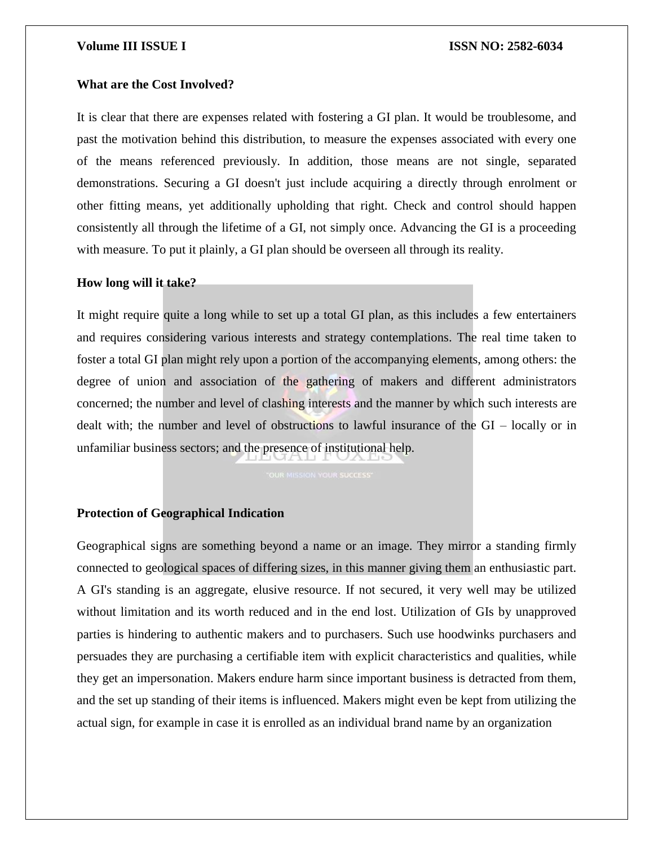# **What are the Cost Involved?**

It is clear that there are expenses related with fostering a GI plan. It would be troublesome, and past the motivation behind this distribution, to measure the expenses associated with every one of the means referenced previously. In addition, those means are not single, separated demonstrations. Securing a GI doesn't just include acquiring a directly through enrolment or other fitting means, yet additionally upholding that right. Check and control should happen consistently all through the lifetime of a GI, not simply once. Advancing the GI is a proceeding with measure. To put it plainly, a GI plan should be overseen all through its reality.

# **How long will it take?**

It might require quite a long while to set up a total GI plan, as this includes a few entertainers and requires considering various interests and strategy contemplations. The real time taken to foster a total GI plan might rely upon a portion of the accompanying elements, among others: the degree of union and association of the gathering of makers and different administrators concerned; the number and level of clashing interests and the manner by which such interests are dealt with; the number and level of obstructions to lawful insurance of the GI – locally or in unfamiliar business sectors; and the presence of institutional help.

# **Protection of Geographical Indication**

Geographical signs are something beyond a name or an image. They mirror a standing firmly connected to geological spaces of differing sizes, in this manner giving them an enthusiastic part. A GI's standing is an aggregate, elusive resource. If not secured, it very well may be utilized without limitation and its worth reduced and in the end lost. Utilization of GIs by unapproved parties is hindering to authentic makers and to purchasers. Such use hoodwinks purchasers and persuades they are purchasing a certifiable item with explicit characteristics and qualities, while they get an impersonation. Makers endure harm since important business is detracted from them, and the set up standing of their items is influenced. Makers might even be kept from utilizing the actual sign, for example in case it is enrolled as an individual brand name by an organization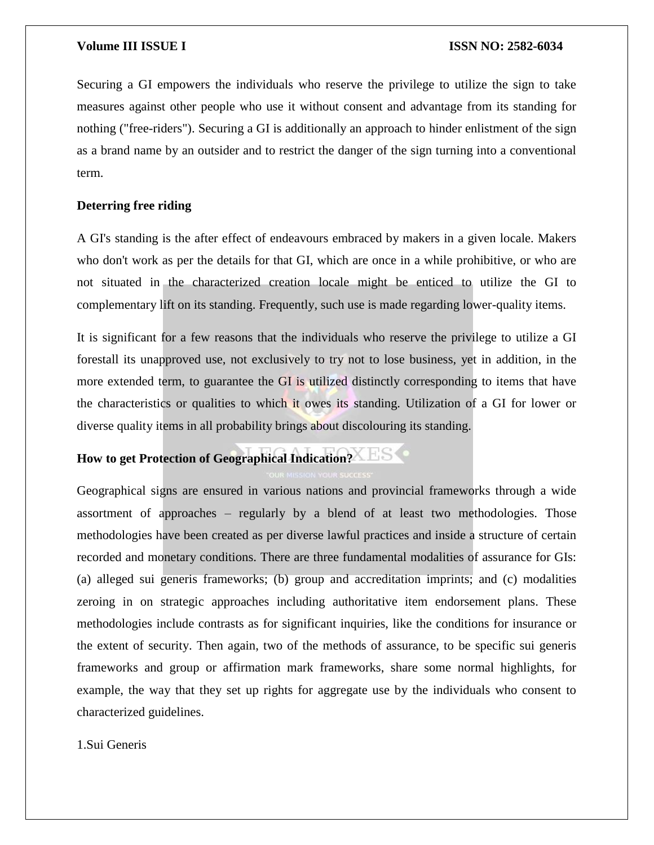Securing a GI empowers the individuals who reserve the privilege to utilize the sign to take measures against other people who use it without consent and advantage from its standing for nothing ("free-riders"). Securing a GI is additionally an approach to hinder enlistment of the sign as a brand name by an outsider and to restrict the danger of the sign turning into a conventional term.

# **Deterring free riding**

A GI's standing is the after effect of endeavours embraced by makers in a given locale. Makers who don't work as per the details for that GI, which are once in a while prohibitive, or who are not situated in the characterized creation locale might be enticed to utilize the GI to complementary lift on its standing. Frequently, such use is made regarding lower-quality items.

It is significant for a few reasons that the individuals who reserve the privilege to utilize a GI forestall its unapproved use, not exclusively to try not to lose business, yet in addition, in the more extended term, to guarantee the GI is utilized distinctly corresponding to items that have the characteristics or qualities to which it owes its standing. Utilization of a GI for lower or diverse quality items in all probability brings about discolouring its standing.

# **How to get Protection of Geographical Indication?**

Geographical signs are ensured in various nations and provincial frameworks through a wide assortment of approaches – regularly by a blend of at least two methodologies. Those methodologies have been created as per diverse lawful practices and inside a structure of certain recorded and monetary conditions. There are three fundamental modalities of assurance for GIs: (a) alleged sui generis frameworks; (b) group and accreditation imprints; and (c) modalities zeroing in on strategic approaches including authoritative item endorsement plans. These methodologies include contrasts as for significant inquiries, like the conditions for insurance or the extent of security. Then again, two of the methods of assurance, to be specific sui generis frameworks and group or affirmation mark frameworks, share some normal highlights, for example, the way that they set up rights for aggregate use by the individuals who consent to characterized guidelines.

1.Sui Generis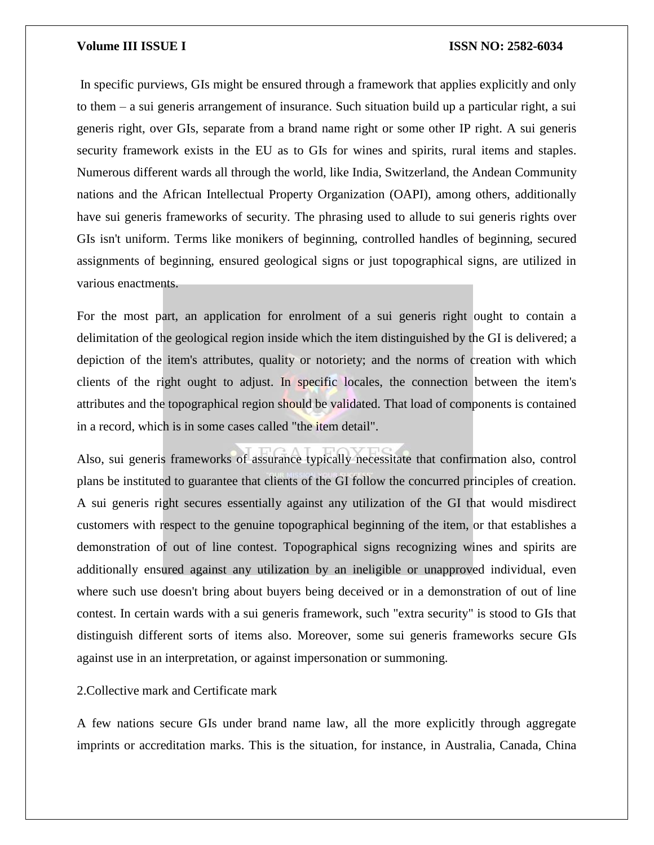In specific purviews, GIs might be ensured through a framework that applies explicitly and only to them – a sui generis arrangement of insurance. Such situation build up a particular right, a sui generis right, over GIs, separate from a brand name right or some other IP right. A sui generis security framework exists in the EU as to GIs for wines and spirits, rural items and staples. Numerous different wards all through the world, like India, Switzerland, the Andean Community nations and the African Intellectual Property Organization (OAPI), among others, additionally have sui generis frameworks of security. The phrasing used to allude to sui generis rights over GIs isn't uniform. Terms like monikers of beginning, controlled handles of beginning, secured assignments of beginning, ensured geological signs or just topographical signs, are utilized in various enactments.

For the most part, an application for enrolment of a sui generis right ought to contain a delimitation of the geological region inside which the item distinguished by the GI is delivered; a depiction of the item's attributes, quality or notoriety; and the norms of creation with which clients of the right ought to adjust. In specific locales, the connection between the item's attributes and the topographical region should be validated. That load of components is contained in a record, which is in some cases called "the item detail".

Also, sui generis frameworks of assurance typically necessitate that confirmation also, control plans be instituted to guarantee that clients of the GI follow the concurred principles of creation. A sui generis right secures essentially against any utilization of the GI that would misdirect customers with respect to the genuine topographical beginning of the item, or that establishes a demonstration of out of line contest. Topographical signs recognizing wines and spirits are additionally ensured against any utilization by an ineligible or unapproved individual, even where such use doesn't bring about buyers being deceived or in a demonstration of out of line contest. In certain wards with a sui generis framework, such "extra security" is stood to GIs that distinguish different sorts of items also. Moreover, some sui generis frameworks secure GIs against use in an interpretation, or against impersonation or summoning.

2.Collective mark and Certificate mark

A few nations secure GIs under brand name law, all the more explicitly through aggregate imprints or accreditation marks. This is the situation, for instance, in Australia, Canada, China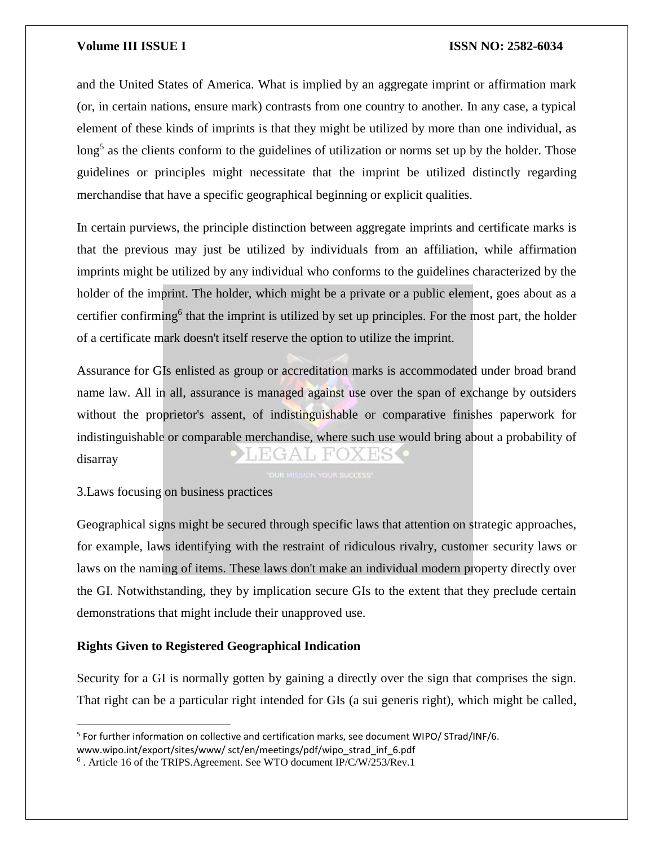and the United States of America. What is implied by an aggregate imprint or affirmation mark (or, in certain nations, ensure mark) contrasts from one country to another. In any case, a typical element of these kinds of imprints is that they might be utilized by more than one individual, as long<sup>5</sup> as the clients conform to the guidelines of utilization or norms set up by the holder. Those guidelines or principles might necessitate that the imprint be utilized distinctly regarding merchandise that have a specific geographical beginning or explicit qualities.

In certain purviews, the principle distinction between aggregate imprints and certificate marks is that the previous may just be utilized by individuals from an affiliation, while affirmation imprints might be utilized by any individual who conforms to the guidelines characterized by the holder of the imprint. The holder, which might be a private or a public element, goes about as a certifier confirming<sup>6</sup> that the imprint is utilized by set up principles. For the most part, the holder of a certificate mark doesn't itself reserve the option to utilize the imprint.

Assurance for GIs enlisted as group or accreditation marks is accommodated under broad brand name law. All in all, assurance is managed against use over the span of exchange by outsiders without the proprietor's assent, of indistinguishable or comparative finishes paperwork for indistinguishable or comparable merchandise, where such use would bring about a probability of EGAL FOXES disarray

3.Laws focusing on business practices

 $\overline{\phantom{a}}$ 

Geographical signs might be secured through specific laws that attention on strategic approaches, for example, laws identifying with the restraint of ridiculous rivalry, customer security laws or laws on the naming of items. These laws don't make an individual modern property directly over the GI. Notwithstanding, they by implication secure GIs to the extent that they preclude certain demonstrations that might include their unapproved use.

# **Rights Given to Registered Geographical Indication**

Security for a GI is normally gotten by gaining a directly over the sign that comprises the sign. That right can be a particular right intended for GIs (a sui generis right), which might be called,

<sup>&</sup>lt;sup>5</sup> For further information on collective and certification marks, see document WIPO/ STrad/INF/6. www.wipo.int/export/sites/www/ sct/en/meetings/pdf/wipo\_strad\_inf\_6.pdf

<sup>&</sup>lt;sup>6</sup>. Article 16 of the TRIPS. Agreement. See WTO document IP/C/W/253/Rev.1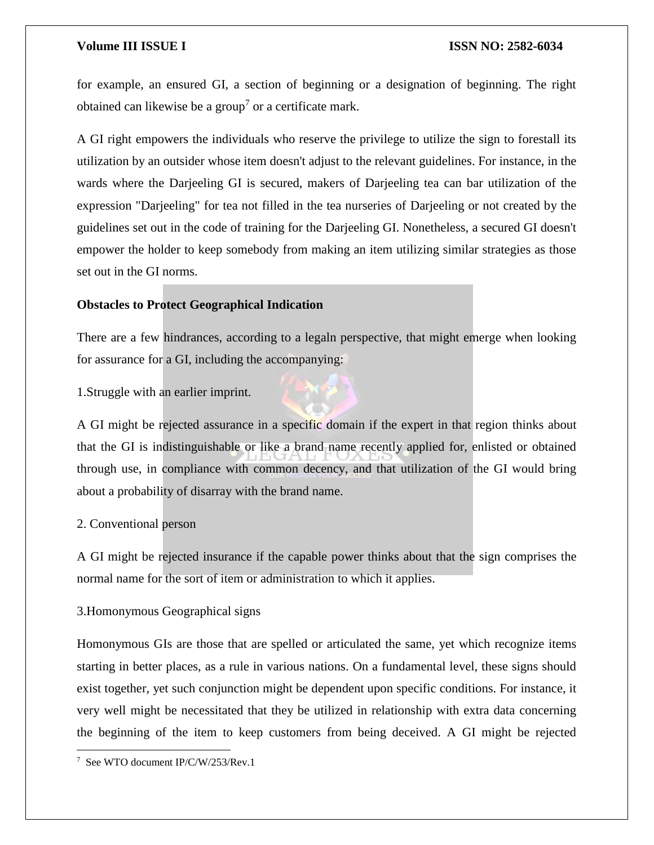for example, an ensured GI, a section of beginning or a designation of beginning. The right obtained can likewise be a group<sup>7</sup> or a certificate mark.

A GI right empowers the individuals who reserve the privilege to utilize the sign to forestall its utilization by an outsider whose item doesn't adjust to the relevant guidelines. For instance, in the wards where the Darjeeling GI is secured, makers of Darjeeling tea can bar utilization of the expression "Darjeeling" for tea not filled in the tea nurseries of Darjeeling or not created by the guidelines set out in the code of training for the Darjeeling GI. Nonetheless, a secured GI doesn't empower the holder to keep somebody from making an item utilizing similar strategies as those set out in the GI norms.

# **Obstacles to Protect Geographical Indication**

There are a few hindrances, according to a legaln perspective, that might emerge when looking for assurance for a GI, including the accompanying:

1.Struggle with an earlier imprint.

A GI might be rejected assurance in a specific domain if the expert in that region thinks about that the GI is indistinguishable or like a brand name recently applied for, enlisted or obtained through use, in compliance with common decency, and that utilization of the GI would bring about a probability of disarray with the brand name.

# 2. Conventional person

A GI might be rejected insurance if the capable power thinks about that the sign comprises the normal name for the sort of item or administration to which it applies.

# 3.Homonymous Geographical signs

Homonymous GIs are those that are spelled or articulated the same, yet which recognize items starting in better places, as a rule in various nations. On a fundamental level, these signs should exist together, yet such conjunction might be dependent upon specific conditions. For instance, it very well might be necessitated that they be utilized in relationship with extra data concerning the beginning of the item to keep customers from being deceived. A GI might be rejected

 $\overline{\phantom{a}}$ 



<sup>7</sup> See WTO document IP/C/W/253/Rev.1